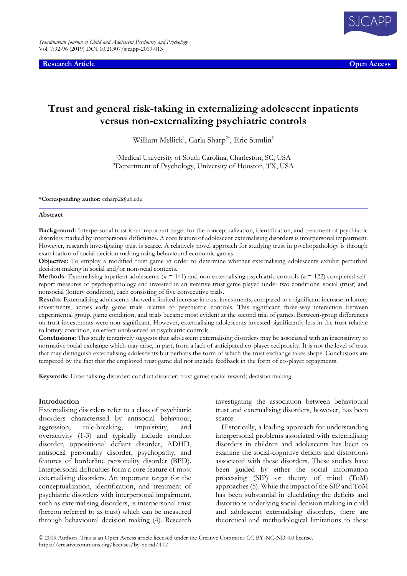**Research Article Open Access**



# **Trust and general risk-taking in externalizing adolescent inpatients versus non-externalizing psychiatric controls**

William Mellick<sup>1</sup>, Carla Sharp<sup>2\*</sup>, Eric Sumlin<sup>2</sup>

<sup>1</sup>Medical University of South Carolina, Charleston, SC, USA <sup>2</sup>Department of Psychology, University of Houston, TX, USA

**\*Corresponding author:** csharp2@uh.edu

#### **Abstract**

**Background:** Interpersonal trust is an important target for the conceptualization, identification, and treatment of psychiatric disorders marked by interpersonal difficulties. A core feature of adolescent externalising disorders is interpersonal impairment. However, research investigating trust is scarce. A relatively novel approach for studying trust in psychopathology is through examination of social decision making using behavioural economic games.

**Objective:** To employ a modified trust game in order to determine whether externalising adolescents exhibit perturbed decision making in social and/or nonsocial contexts.

**Methods:** Externalising inpatient adolescents (*n* = 141) and non-externalising psychiatric controls (*n* = 122) completed selfreport measures of psychopathology and invested in an iterative trust game played under two conditions: social (trust) and nonsocial (lottery condition), each consisting of five consecutive trials.

**Results:** Externalising adolescents showed a limited increase in trust investments, compared to a significant increase in lottery investments, across early game trials relative to psychiatric controls. This significant three-way interaction between experimental group, game condition, and trials became most evident at the second trial of games. Between-group differences on trust investments were non-significant. However, externalising adolescents invested significantly less in the trust relative to lottery condition, an effect unobserved in psychiatric controls.

**Conclusions:** This study tentatively suggests that adolescent externalising disorders may be associated with an insensitivity to normative social exchange which may arise, in part, from a lack of anticipated co-player reciprocity. It is not the level of trust that may distinguish externalising adolescents but perhaps the form of which the trust exchange takes shape. Conclusions are tempered by the fact that the employed trust game did not include feedback in the form of co-player repayments.

**Keywords:** Externalising disorder; conduct disorder; trust game; social reward; decision making

#### **Introduction**

Externalising disorders refer to a class of psychiatric disorders characterised by antisocial behaviour, aggression, rule-breaking, impulsivity, and overactivity (1-3) and typically include conduct disorder, oppositional defiant disorder, ADHD, antisocial personality disorder, psychopathy, and features of borderline personality disorder (BPD). Interpersonal difficulties form a core feature of most externalising disorders. An important target for the conceptualization, identification, and treatment of psychiatric disorders with interpersonal impairment, such as externalising disorders, is interpersonal trust (hereon referred to as trust) which can be measured through behavioural decision making (4). Research

investigating the association between behavioural trust and externalising disorders, however, has been scarce.

Historically, a leading approach for understanding interpersonal problems associated with externalising disorders in children and adolescents has been to examine the social-cognitive deficits and distortions associated with these disorders. These studies have been guided by either the social information processing (SIP) or theory of mind (ToM) approaches (5). While the impact of the SIP and ToM has been substantial in elucidating the deficits and distortions underlying social decision making in child and adolescent externalising disorders, there are theoretical and methodological limitations to these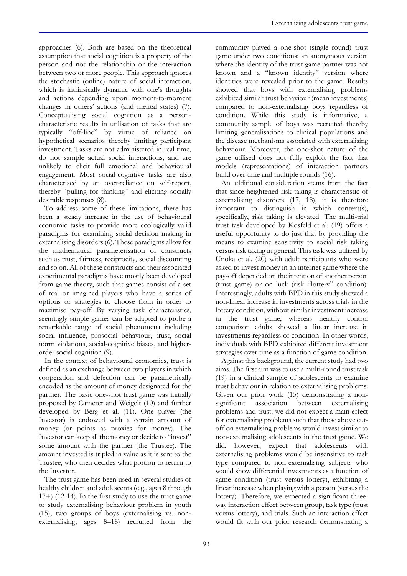approaches (6). Both are based on the theoretical assumption that social cognition is a property of the person and not the relationship or the interaction between two or more people. This approach ignores the stochastic (online) nature of social interaction, which is intrinsically dynamic with one's thoughts and actions depending upon moment-to-moment changes in others' actions (and mental states) (7). Conceptualising social cognition as a personcharacteristic results in utilisation of tasks that are typically "off-line" by virtue of reliance on hypothetical scenarios thereby limiting participant investment. Tasks are not administered in real time, do not sample actual social interactions, and are unlikely to elicit full emotional and behavioural engagement. Most social-cognitive tasks are also characterised by an over-reliance on self-report, thereby "pulling for thinking" and eliciting socially desirable responses (8).

To address some of these limitations, there has been a steady increase in the use of behavioural economic tasks to provide more ecologically valid paradigms for examining social decision making in externalising disorders (6). These paradigms allow for the mathematical parameterisation of constructs such as trust, fairness, reciprocity, social discounting and so on. All of these constructs and their associated experimental paradigms have mostly been developed from game theory, such that games consist of a set of real or imagined players who have a series of options or strategies to choose from in order to maximise pay-off. By varying task characteristics, seemingly simple games can be adapted to probe a remarkable range of social phenomena including social influence, prosocial behaviour, trust, social norm violations, social-cognitive biases, and higherorder social cognition (9).

In the context of behavioural economics, trust is defined as an exchange between two players in which cooperation and defection can be parametrically encoded as the amount of money designated for the partner. The basic one-shot trust game was initially proposed by Camerer and Weigelt (10) and further developed by Berg et al. (11). One player (the Investor) is endowed with a certain amount of money (or points as proxies for money). The Investor can keep all the money or decide to "invest" some amount with the partner (the Trustee). The amount invested is tripled in value as it is sent to the Trustee, who then decides what portion to return to the Investor.

The trust game has been used in several studies of healthy children and adolescents (e.g., ages 8 through 17+) (12-14). In the first study to use the trust game to study externalising behaviour problem in youth (15), two groups of boys (externalising vs. nonexternalising; ages 8–18) recruited from the

community played a one-shot (single round) trust game under two conditions: an anonymous version where the identity of the trust game partner was not known and a "known identity" version where identities were revealed prior to the game. Results showed that boys with externalising problems exhibited similar trust behaviour (mean investments) compared to non-externalising boys regardless of condition. While this study is informative, a community sample of boys was recruited thereby limiting generalisations to clinical populations and the disease mechanisms associated with externalising behaviour. Moreover, the one-shot nature of the game utilised does not fully exploit the fact that models (representations) of interaction partners build over time and multiple rounds (16).

An additional consideration stems from the fact that since heightened risk taking is characteristic of externalising disorders (17, 18), it is therefore important to distinguish in which context(s), specifically, risk taking is elevated. The multi-trial trust task developed by Kosfeld et al. (19) offers a useful opportunity to do just that by providing the means to examine sensitivity to social risk taking versus risk taking in general. This task was utilized by Unoka et al. (20) with adult participants who were asked to invest money in an internet game where the pay-off depended on the intention of another person (trust game) or on luck (risk "lottery" condition). Interestingly, adults with BPD in this study showed a non-linear increase in investments across trials in the lottery condition, without similar investment increase in the trust game, whereas healthy control comparison adults showed a linear increase in investments regardless of condition. In other words, individuals with BPD exhibited different investment strategies over time as a function of game condition.

Against this background, the current study had two aims. The first aim was to use a multi-round trust task (19) in a clinical sample of adolescents to examine trust behaviour in relation to externalising problems. Given our prior work (15) demonstrating a nonsignificant association between externalising problems and trust, we did not expect a main effect for externalising problems such that those above cutoff on externalising problems would invest similar to non-externalising adolescents in the trust game. We did, however, expect that adolescents with externalising problems would be insensitive to task type compared to non-externalising subjects who would show differential investments as a function of game condition (trust versus lottery), exhibiting a linear increase when playing with a person (versus the lottery). Therefore, we expected a significant threeway interaction effect between group, task type (trust versus lottery), and trials. Such an interaction effect would fit with our prior research demonstrating a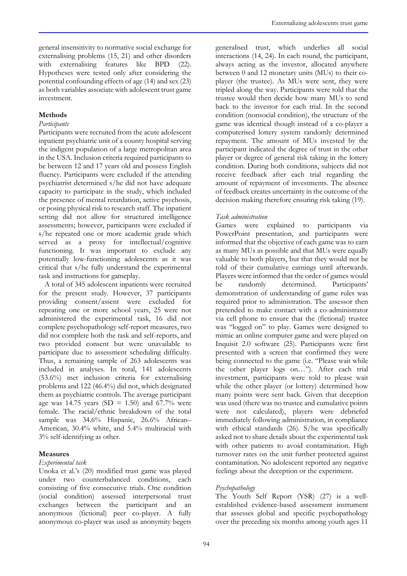general insensitivity to normative social exchange for externalising problems (15, 21) and other disorders with externalising features like BPD (22). Hypotheses were tested only after considering the potential confounding effects of age (14) and sex (23) as both variables associate with adolescent trust game investment.

## **Methods**

### *Participants*

Participants were recruited from the acute adolescent inpatient psychiatric unit of a county hospital serving the indigent population of a large metropolitan area in the USA. Inclusion criteria required participants to be between 12 and 17 years old and possess English fluency. Participants were excluded if the attending psychiatrist determined s/he did not have adequate capacity to participate in the study, which included the presence of mental retardation, active psychosis, or posing physical risk to research staff. The inpatient setting did not allow for structured intelligence assessments; however, participants were excluded if s/he repeated one or more academic grade which served as a proxy for intellectual/cognitive functioning. It was important to exclude any potentially low-functioning adolescents as it was critical that s/he fully understand the experimental task and instructions for gameplay.

A total of 345 adolescent inpatients were recruited for the present study. However, 37 participants providing consent/assent were excluded for repeating one or more school years, 25 were not administered the experimental task, 16 did not complete psychopathology self-report measures, two did not complete both the task and self-reports, and two provided consent but were unavailable to participate due to assessment scheduling difficulty. Thus, a remaining sample of 263 adolescents was included in analyses. In total, 141 adolescents (53.6%) met inclusion criteria for externalising problems and 122 (46.4%) did not, which designated them as psychiatric controls. The average participant age was 14.75 years (SD = 1.50) and 67.7% were female. The racial/ethnic breakdown of the total sample was 34.6% Hispanic, 26.6% African– American, 30.4% white, and 5.4% multiracial with 3% self-identifying as other.

### **Measures**

### *Experimental task*

Unoka et al.'s (20) modified trust game was played under two counterbalanced conditions, each consisting of five consecutive trials. One condition (social condition) assessed interpersonal trust exchanges between the participant and an anonymous (fictional) peer co-player. A fully anonymous co-player was used as anonymity begets

generalised trust, which underlies all social interactions (14, 24). In each round, the participant, always acting as the investor, allocated anywhere between 0 and 12 monetary units (MUs) to their coplayer (the trustee). As MUs were sent, they were tripled along the way. Participants were told that the trustee would then decide how many MUs to send back to the investor for each trial. In the second condition (nonsocial condition), the structure of the game was identical though instead of a co-player a computerised lottery system randomly determined repayment. The amount of MUs invested by the participant indicated the degree of trust in the other player or degree of general risk taking in the lottery condition. During both conditions, subjects did not receive feedback after each trial regarding the amount of repayment of investments. The absence of feedback creates uncertainty in the outcome of the decision making therefore ensuring risk taking (19).

### *Task administration*

Games were explained to participants via PowerPoint presentation, and participants were informed that the objective of each game was to earn as many MUs as possible and that MUs were equally valuable to both players, but that they would not be told of their cumulative earnings until afterwards. Players were informed that the order of games would be randomly determined. Participants' demonstration of understanding of game rules was required prior to administration. The assessor then pretended to make contact with a co-administrator via cell phone to ensure that the (fictional) trustee was "logged on" to play. Games were designed to mimic an online computer game and were played on Inquisit 2.0 software (25). Participants were first presented with a screen that confirmed they were being connected to the game (i.e. "Please wait while the other player logs on…"). After each trial investment, participants were told to please wait while the other player (or lottery) determined how many points were sent back. Given that deception was used (there was no trustee and cumulative points were not calculated), players were debriefed immediately following administration, in compliance with ethical standards (26). S/he was specifically asked not to share details about the experimental task with other patients to avoid contamination. High turnover rates on the unit further protected against contamination. No adolescent reported any negative feelings about the deception or the experiment.

### *Psychopathology*

The Youth Self Report (YSR) (27) is a wellestablished evidence-based assessment instrument that assesses global and specific psychopathology over the preceding six months among youth ages 11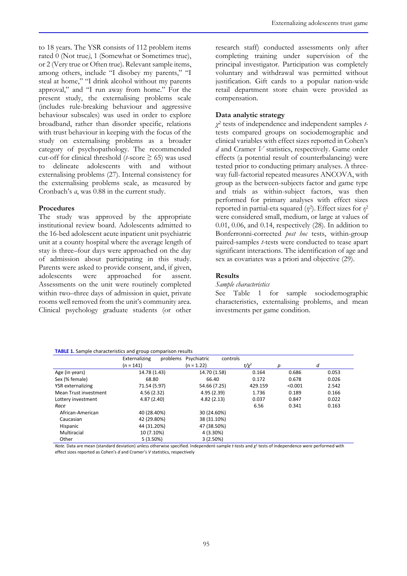to 18 years. The YSR consists of 112 problem items rated 0 (Not true*)*, 1 (Somewhat or Sometimes true), or 2 (Very true or Often true). Relevant sample items, among others, include "I disobey my parents," "I steal at home," "I drink alcohol without my parents approval," and "I run away from home." For the present study, the externalising problems scale (includes rule-breaking behaviour and aggressive behaviour subscales) was used in order to explore broadband, rather than disorder specific, relations with trust behaviour in keeping with the focus of the study on externalising problems as a broader category of psychopathology. The recommended cut-off for clinical threshold ( $t$ -score  $\geq$  65) was used to delineate adolescents with and without externalising problems (27). Internal consistency for the externalising problems scale, as measured by Cronbach's *α*, was 0.88 in the current study.

### **Procedures**

The study was approved by the appropriate institutional review board. Adolescents admitted to the 16-bed adolescent acute inpatient unit psychiatric unit at a county hospital where the average length of stay is three–four days were approached on the day of admission about participating in this study. Parents were asked to provide consent, and, if given, adolescents were approached for assent. Assessments on the unit were routinely completed within two–three days of admission in quiet, private rooms well removed from the unit's community area. Clinical psychology graduate students (or other research staff) conducted assessments only after completing training under supervision of the principal investigator. Participation was completely voluntary and withdrawal was permitted without justification. Gift cards to a popular nation-wide retail department store chain were provided as compensation.

## **Data analytic strategy**

*χ* 2 tests of independence and independent samples *t*tests compared groups on sociodemographic and clinical variables with effect sizes reported in Cohen's *d* and Cramer *V* statistics, respectively. Game order effects (a potential result of counterbalancing) were tested prior to conducting primary analyses. A threeway full-factorial repeated measures ANCOVA, with group as the between-subjects factor and game type and trials as within-subject factors, was then performed for primary analyses with effect sizes reported in partial-eta squared (*η*<sup>2</sup>). Effect sizes for *η*<sup>2</sup> were considered small, medium, or large at values of 0.01, 0.06, and 0.14, respectively (28). In addition to Bonferronni-corrected *post hoc* tests, within-group paired-samples *t*-tests were conducted to tease apart significant interactions. The identification of age and sex as covariates was a priori and objective (29).

### **Results**

### *Sample characteristics*

See Table 1 for sample sociodemographic characteristics, externalising problems, and mean investments per game condition.

#### **TABLE 1.** Sample characteristics and group comparison results

|                       | Externalizing<br>problems<br>$(n = 141)$ | Psychiatric<br>controls<br>$(n = 1.22)$ | $t/x^2$ | р       | d     |
|-----------------------|------------------------------------------|-----------------------------------------|---------|---------|-------|
| Age (in years)        | 14.78 (1.43)                             | 14.70 (1.58)                            | 0.164   | 0.686   | 0.053 |
|                       |                                          |                                         |         |         |       |
| Sex (% female)        | 68.80                                    | 66.40                                   | 0.172   | 0.678   | 0.026 |
| YSR externalizing     | 71.54 (5.97)                             | 54.66 (7.25)                            | 429.159 | < 0.001 | 2.542 |
| Mean Trust investment | 4.56(2.32)                               | 4.95(2.39)                              | 1.736   | 0.189   | 0.166 |
| Lottery investment    | 4.87(2.40)                               | 4.82(2.13)                              | 0.037   | 0.847   | 0.022 |
| Race                  |                                          |                                         | 6.56    | 0.341   | 0.163 |
| African-American      | 40 (28.40%)                              | 30 (24.60%)                             |         |         |       |
| Caucasian             | 42 (29.80%)                              | 38 (31.10%)                             |         |         |       |
| Hispanic              | 44 (31.20%)                              | 47 (38.50%)                             |         |         |       |
| Multiracial           | 10 (7.10%)                               | 4 (3.30%)                               |         |         |       |
| Other                 | 5(3.50%)                                 | 3(2.50%)                                |         |         |       |

*Note.* Data are mean (standard deviation) unless otherwise specified. Independent-sample *t*-tests and *χ* 2 tests of independence were performed with effect sizes reported as Cohen's *d* and Cramer's *V* statistics, respectively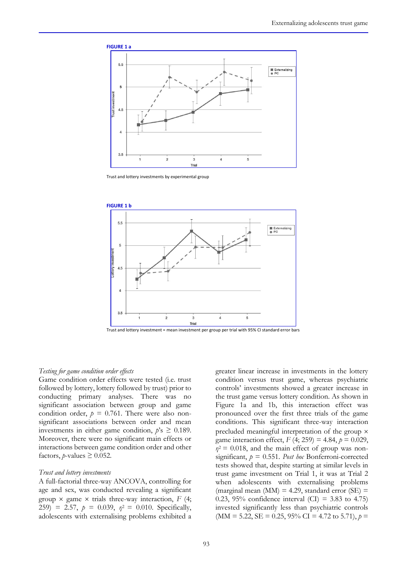

Trust and lottery investments by experimental group



Trust and lottery investment = mean investment per group per trial with 95% CI standard error bars

#### *Testing for game condition order effects*

Game condition order effects were tested (i.e. trust followed by lottery, lottery followed by trust) prior to conducting primary analyses. There was no significant association between group and game condition order,  $p = 0.761$ . There were also nonsignificant associations between order and mean investments in either game condition,  $p$ 's  $\geq$  0.189. Moreover, there were no significant main effects or interactions between game condition order and other factors,  $p$ -values  $\geq 0.052$ .

#### *Trust and lottery investments*

A full-factorial three-way ANCOVA, controlling for age and sex, was conducted revealing a significant group  $\times$  game  $\times$  trials three-way interaction, *F* (4; 259) = 2.57,  $p = 0.039$ ,  $p^2 = 0.010$ . Specifically, adolescents with externalising problems exhibited a

greater linear increase in investments in the lottery condition versus trust game, whereas psychiatric controls' investments showed a greater increase in the trust game versus lottery condition. As shown in Figure 1a and 1b, this interaction effect was pronounced over the first three trials of the game conditions. This significant three-way interaction precluded meaningful interpretation of the group game interaction effect, *F* (4; 259) = 4.84, *p* = 0.029,  $\eta^2$  = 0.018, and the main effect of group was nonsignificant, *p* = 0.551. *Post hoc* Bonferroni-corrected tests showed that, despite starting at similar levels in trust game investment on Trial 1, it was at Trial 2 when adolescents with externalising problems (marginal mean (MM) = 4.29, standard error (SE) = 0.23, 95% confidence interval  $(CI) = 3.83$  to 4.75) invested significantly less than psychiatric controls  $(MM = 5.22, SE = 0.25, 95\% CI = 4.72$  to 5.71),  $p =$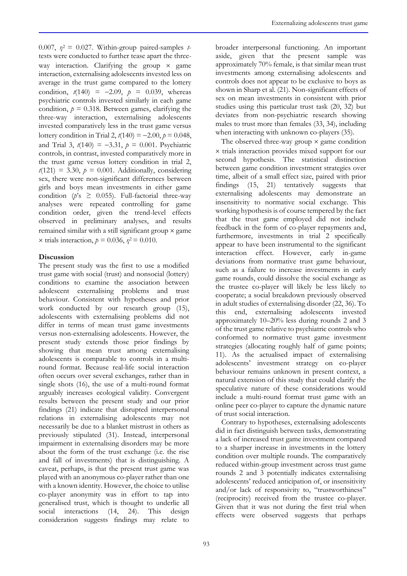0.007,  $\eta^2 = 0.027$ . Within-group paired-samples *t*tests were conducted to further tease apart the threeway interaction. Clarifying the group  $\times$  game interaction, externalising adolescents invested less on average in the trust game compared to the lottery condition,  $t(140) = -2.09$ ,  $p = 0.039$ , whereas psychiatric controls invested similarly in each game condition,  $p = 0.318$ *.* Between games, clarifying the three-way interaction, externalising adolescents invested comparatively less in the trust game versus lottery condition in Trial 2,  $t(140) = -2.00$ ,  $p = 0.048$ , and Trial 3,  $t(140) = -3.31$ ,  $p = 0.001$ . Psychiatric controls, in contrast, invested comparatively more in the trust game versus lottery condition in trial 2,  $t(121) = 3.30, p = 0.001$ . Additionally, considering sex, there were non-significant differences between girls and boys mean investments in either game condition ( $p$ 's  $\geq$  0.055). Full-factorial three-way analyses were repeated controlling for game condition order, given the trend-level effects observed in preliminary analyses, and results remained similar with a still significant group  $\times$  game x trials interaction,  $p = 0.036$ ,  $p^2 = 0.010$ .

# **Discussion**

The present study was the first to use a modified trust game with social (trust) and nonsocial (lottery) conditions to examine the association between adolescent externalising problems and trust behaviour. Consistent with hypotheses and prior work conducted by our research group (15), adolescents with externalising problems did not differ in terms of mean trust game investments versus non-externalising adolescents. However, the present study extends those prior findings by showing that mean trust among externalising adolescents is comparable to controls in a multiround format. Because real-life social interaction often occurs over several exchanges, rather than in single shots (16), the use of a multi-round format arguably increases ecological validity. Convergent results between the present study and our prior findings (21) indicate that disrupted interpersonal relations in externalising adolescents may not necessarily be due to a blanket mistrust in others as previously stipulated (31). Instead, interpersonal impairment in externalising disorders may be more about the form of the trust exchange (i.e. the rise and fall of investments) that is distinguishing. A caveat, perhaps, is that the present trust game was played with an anonymous co-player rather than one with a known identity. However, the choice to utilise co-player anonymity was in effort to tap into generalised trust, which is thought to underlie all social interactions (14, 24). This design consideration suggests findings may relate to

broader interpersonal functioning. An important aside, given that the present sample was approximately 70% female, is that similar mean trust investments among externalising adolescents and controls does not appear to be exclusive to boys as shown in Sharp et al. (21). Non-significant effects of sex on mean investments in consistent with prior studies using this particular trust task (20, 32) but deviates from non-psychiatric research showing males to trust more than females (33, 34), including when interacting with unknown co-players (35).

The observed three-way group  $\times$  game condition  $\times$  trials interaction provides mixed support for our second hypothesis. The statistical distinction between game condition investment strategies over time, albeit of a small effect size, paired with prior findings (15, 21) tentatively suggests that externalising adolescents may demonstrate an insensitivity to normative social exchange. This working hypothesis is of course tempered by the fact that the trust game employed did not include feedback in the form of co-player repayments and, furthermore, investments in trial 2 specifically appear to have been instrumental to the significant interaction effect. However, early in-game deviations from normative trust game behaviour, such as a failure to increase investments in early game rounds, could dissolve the social exchange as the trustee co-player will likely be less likely to cooperate; a social breakdown previously observed in adult studies of externalising disorder (22, 36). To this end, externalising adolescents invested approximately 10–20% less during rounds 2 and 3 of the trust game relative to psychiatric controls who conformed to normative trust game investment strategies (allocating roughly half of game points; 11). As the actualised impact of externalising adolescents' investment strategy on co-player behaviour remains unknown in present context, a natural extension of this study that could clarify the speculative nature of these considerations would include a multi-round format trust game with an online peer co-player to capture the dynamic nature of trust social interaction.

Contrary to hypotheses, externalising adolescents did in fact distinguish between tasks, demonstrating a lack of increased trust game investment compared to a sharper increase in investments in the lottery condition over multiple rounds. The comparatively reduced within-group investment across trust game rounds 2 and 3 potentially indicates externalising adolescents' reduced anticipation of, or insensitivity and/or lack of responsivity to, "trustworthiness" (reciprocity) received from the trustee co-player. Given that it was not during the first trial when effects were observed suggests that perhaps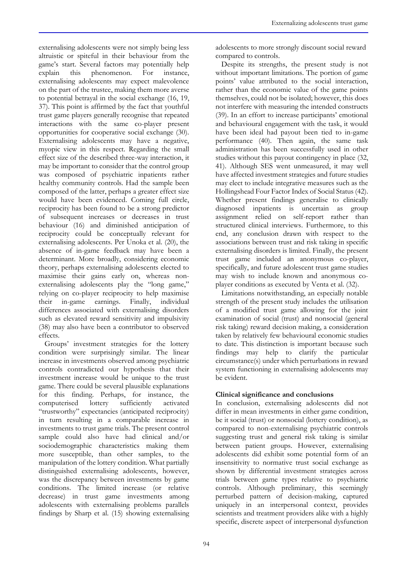externalising adolescents were not simply being less altruistic or spiteful in their behaviour from the game's start. Several factors may potentially help explain this phenomenon. For instance, externalising adolescents may expect malevolence on the part of the trustee, making them more averse to potential betrayal in the social exchange (16, 19, 37). This point is affirmed by the fact that youthful trust game players generally recognise that repeated interactions with the same co-player present opportunities for cooperative social exchange (30). Externalising adolescents may have a negative, myopic view in this respect. Regarding the small effect size of the described three-way interaction, it may be important to consider that the control group was composed of psychiatric inpatients rather healthy community controls. Had the sample been composed of the latter, perhaps a greater effect size would have been evidenced. Coming full circle, reciprocity has been found to be a strong predictor of subsequent increases or decreases in trust behaviour (16) and diminished anticipation of reciprocity could be conceptually relevant for externalising adolescents. Per Unoka et al. (20), the absence of in-game feedback may have been a determinant. More broadly, considering economic theory, perhaps externalising adolescents elected to maximise their gains early on, whereas nonexternalising adolescents play the "long game," relying on co-player reciprocity to help maximise their in-game earnings. Finally, individual differences associated with externalising disorders such as elevated reward sensitivity and impulsivity (38) may also have been a contributor to observed effects.

Groups' investment strategies for the lottery condition were surprisingly similar. The linear increase in investments observed among psychiatric controls contradicted our hypothesis that their investment increase would be unique to the trust game. There could be several plausible explanations for this finding. Perhaps, for instance, the computerised lottery sufficiently activated "trustworthy" expectancies (anticipated reciprocity) in turn resulting in a comparable increase in investments to trust game trials. The present control sample could also have had clinical and/or sociodemographic characteristics making them more susceptible, than other samples, to the manipulation of the lottery condition. What partially distinguished externalising adolescents, however, was the discrepancy between investments by game conditions. The limited increase (or relative decrease) in trust game investments among adolescents with externalising problems parallels findings by Sharp et al. (15) showing externalising adolescents to more strongly discount social reward compared to controls.

Despite its strengths, the present study is not without important limitations. The portion of game points' value attributed to the social interaction, rather than the economic value of the game points themselves, could not be isolated; however, this does not interfere with measuring the intended constructs (39). In an effort to increase participants' emotional and behavioural engagement with the task, it would have been ideal had payout been tied to in-game performance (40). Then again, the same task administration has been successfully used in other studies without this payout contingency in place (32, 41). Although SES went unmeasured, it may well have affected investment strategies and future studies may elect to include integrative measures such as the Hollingshead Four Factor Index of Social Status (42). Whether present findings generalise to clinically diagnosed inpatients is uncertain as group assignment relied on self-report rather than structured clinical interviews. Furthermore, to this end, any conclusion drawn with respect to the associations between trust and risk taking in specific externalising disorders is limited. Finally, the present trust game included an anonymous co-player, specifically, and future adolescent trust game studies may wish to include known and anonymous coplayer conditions as executed by Venta et al. (32).

Limitations notwithstanding, an especially notable strength of the present study includes the utilisation of a modified trust game allowing for the joint examination of social (trust) and nonsocial (general risk taking) reward decision making, a consideration taken by relatively few behavioural economic studies to date. This distinction is important because such findings may help to clarify the particular circumstance(s) under which perturbations in reward system functioning in externalising adolescents may be evident.

# **Clinical significance and conclusions**

In conclusion, externalising adolescents did not differ in mean investments in either game condition, be it social (trust) or nonsocial (lottery condition), as compared to non-externalising psychiatric controls suggesting trust and general risk taking is similar between patient groups. However, externalising adolescents did exhibit some potential form of an insensitivity to normative trust social exchange as shown by differential investment strategies across trials between game types relative to psychiatric controls. Although preliminary, this seemingly perturbed pattern of decision-making, captured uniquely in an interpersonal context, provides scientists and treatment providers alike with a highly specific, discrete aspect of interpersonal dysfunction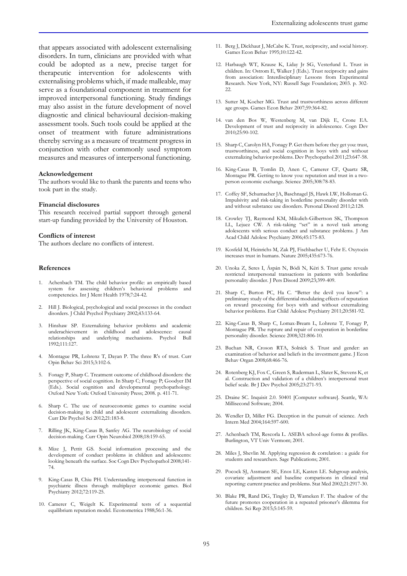that appears associated with adolescent externalising disorders. In turn, clinicians are provided with what could be adopted as a new, precise target for therapeutic intervention for adolescents with externalising problems which, if made malleable, may serve as a foundational component in treatment for improved interpersonal functioning. Study findings may also assist in the future development of novel diagnostic and clinical behavioural decision-making assessment tools. Such tools could be applied at the onset of treatment with future administrations thereby serving as a measure of treatment progress in conjunction with other commonly used symptom measures and measures of interpersonal functioning.

#### **Acknowledgement**

The authors would like to thank the parents and teens who took part in the study.

#### **Financial disclosures**

This research received partial support through general start-up funding provided by the University of Houston.

#### **Conflicts of interest**

The authors declare no conflicts of interest.

#### **References**

- 1. Achenbach TM. The child behavior profile: an empirically based system for assessing children's behavioral problems and competencies. Int J Ment Health 1978;7:24-42.
- 2. Hill J. Biological, psychological and social processes in the conduct disorders. J Child Psychol Psychiatry 2002;43:133-64.
- 3. Hinshaw SP. Externalizing behavior problems and academic underachievement in childhood and adolescence: causal relationships and underlying mechanisms. Psychol Bull 1992;111:127.
- 4. Montague PR, Lohrenz T, Dayan P. The three R's of trust. Curr Opin Behav Sci 2015;3:102-6.
- 5. Fonagy P, Sharp C. Treatment outcome of childhood disorders: the perspective of social cognition. In Sharp C; Fonagy P; Goodyer IM (Eds.). Social cognition and developmental psychopathology. Oxford New York: Oxford University Press; 2008. p. 411-71.
- Sharp C. The use of neuroeconomic games to examine social decision-making in child and adolescent externalizing disorders. Curr Dir Psychol Sci 2012;21:183-8.
- 7. Rilling JK, King-Casas B, Sanfey AG. The neurobiology of social decision-making. Curr Opin Neurobiol 2008;18:159-65.
- 8. Mize J, Pettit GS. Social information processing and the development of conduct problems in children and adolescents: looking beneath the surface. Soc Cogn Dev Psychopathol 2008;141-74.
- 9. King-Casas B, Chiu PH. Understanding interpersonal function in psychiatric illness through multiplayer economic games. Biol Psychiatry 2012;72:119-25.
- 10. Camerer C, Weigelt K. Experimental tests of a sequential equilibrium reputation model. Econometrica 1988;56:1-36.
- 11. Berg J, Dickhaut J, McCabe K. Trust, reciprocity, and social history. Games Econ Behav 1995;10:122-42.
- 12. Harbaugh WT, Krause K, Liday Jr SG, Vesterlund L. Trust in children. In: Ostrom E, Walker J (Eds.). Trust reciprocity and gains from association: Interdisciplinary Lessons from Experimental Research. New York, NY: Russell Sage Foundation; 2003. p. 302- 22.
- 13. Sutter M, Kocher MG. Trust and trustworthiness across different age groups. Games Econ Behav 2007;59:364-82.
- 14. van den Bos W, Westenberg M, van Dijk E, Crone EA. Development of trust and reciprocity in adolescence. Cogn Dev 2010;25:90-102.
- 15. Sharp C, Carolyn HA, Fonagy P. Get them before they get you: trust, trustworthiness, and social cognition in boys with and without externalizing behavior problems. Dev Psychopathol 2011;23:647-58.
- 16. King-Casas B, Tomlin D, Anen C, Camerer CF, Quartz SR, Montague PR. Getting to know you: reputation and trust in a twoperson economic exchange. Science 2005;308:78-83.
- 17. Coffey SF, Schumacher JA, Baschnagel JS, Hawk LW, Holloman G. Impulsivity and risk-taking in borderline personality disorder with and without substance use disorders. Personal Disord 2011;2:128.
- 18. Crowley TJ, Raymond KM, Mikulich-Gilbertson SK, Thompson LL, Lejuez CW. A risk-taking "set" in a novel task among adolescents with serious conduct and substance problems. J Am Acad Child Adolesc Psychiatry 2006;45:175-83.
- 19. Kosfeld M, Heinrichs M, Zak PJ, Fischbacher U, Fehr E. Oxytocin increases trust in humans. Nature 2005;435:673-76.
- 20. Unoka Z, Seres I, Áspán N, Bódi N, Kéri S. Trust game reveals restricted interpersonal transactions in patients with borderline personality disorder. J Pers Disord 2009;23;399-409.
- 21. Sharp C, Burton PC, Ha C. "Better the devil you know": a preliminary study of the differential modulating effects of reputation on reward processing for boys with and without externalizing behavior problems. Eur Child Adolesc Psychiatry 2011;20:581-92.
- 22. King-Casas B, Sharp C, Lomax-Bream L, Lohrenz T, Fonagy P, Montague PR. The rupture and repair of cooperation in borderline personality disorder. Science 2008;321:806-10.
- 23. Buchan NR, Croson RTA, Solnick S. Trust and gender: an examination of behavior and beliefs in the investment game. J Econ Behav Organ 2008;68:466-76.
- 24. Rotenberg KJ, Fox C, Green S, Ruderman L, Slater K, Stevens K, et al. Construction and validation of a children's interpersonal trust belief scale. Br J Dev Psychol 2005;23:271-93.
- 25. Draine SC. Inquisit 2.0. 50401 [Computer software]. Seattle, WA: Millisecond Software; 2004.
- 26. Wendler D, Miller FG. Deception in the pursuit of science. Arch Intern Med 2004;164:597-600.
- 27. Achenbach TM, Rescorla L. ASEBA school-age forms & profiles. Burlington, VT Univ Vermont; 2001.
- 28. Miles J, Shevlin M. Applying regression & correlation : a guide for students and researchers. Sage Publications; 2001.
- 29. Pocock SJ, Assmann SE, Enos LE, Kasten LE. Subgroup analysis, covariate adjustment and baseline comparisons in clinical trial reporting: current practice and problems. Stat Med 2002;21:2917-30.
- 30. Blake PR, Rand DG, Tingley D, Warneken F. The shadow of the future promotes cooperation in a repeated prisoner's dilemma for children. Sci Rep 2015;5:145-59.